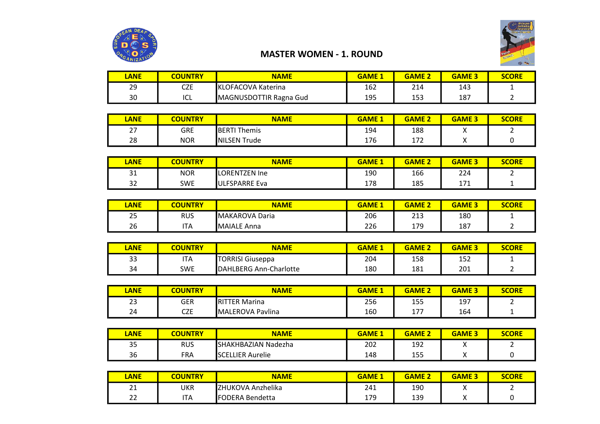



## MASTER WOMEN - 1. ROUND

| <b>ANE</b> | <b>COUNTRY</b> | <b>NAME</b>               | <b>GAME 1</b> | <b>GAME 2</b> | <b>GAME 3</b> | SCORE |
|------------|----------------|---------------------------|---------------|---------------|---------------|-------|
| 29         | CZE            | <b>KLOFACOVA Katerina</b> | 162           | 214           | 143           |       |
| 30         | ICL            | MAGNUSDOTTIR Ragna Gud    | 195           | 153           | 187           |       |

| LANE                           | <b>COUNTRY</b> | <b>NAME</b>         | <b>GAME</b> | <b>GAME 2</b> | <b>GAME 3</b> | <b>SCORE</b> |
|--------------------------------|----------------|---------------------|-------------|---------------|---------------|--------------|
| $\sim$ $\rightarrow$<br>$\sim$ | GRE            | <b>BERTI Themis</b> | 194         | 188           | $\cdot$       |              |
| 28                             | <b>NOR</b>     | NILSEN Trude        | 176         | 172<br>11 Z   | $\cdot$       |              |

| LANE               | <b>COUNTRY</b> | <b>NAME</b>   | <b>GAME</b> | <b>GAME 2</b> | <b>GAME 3</b>     | <b>SCORE</b> |
|--------------------|----------------|---------------|-------------|---------------|-------------------|--------------|
| $\mathbf{a}$<br>∍⊥ | <b>NOR</b>     | LORENTZEN Ine | 190         | 166           | 224               |              |
| ີ<br>32            | <b>SWE</b>     | ULFSPARRE Eva | 178         | 185           | <b>איד</b><br>⊥∕⊥ |              |

| LANE     | <b>COUNTRY</b> | <b>NAME</b>         | <b>GAME 1</b> | <b>GAME 2</b> | <b>GAME 3</b> | <b>SCORE</b> |
|----------|----------------|---------------------|---------------|---------------|---------------|--------------|
| 25<br>بے | rus            | MAKAROVA Daria      | 206           | 213           | 180           |              |
| 26       | <b>ITA</b>     | <b>IMAIALE Anna</b> | 226           | 179           | 187           |              |

| <b>ANE</b> | <b>COUNTRY</b> | NAME                    | <b>GAME 1</b> | <b>GAME 2</b> | <b>GAME 3</b> | <b>SCORE</b> |
|------------|----------------|-------------------------|---------------|---------------|---------------|--------------|
| 33         | <b>ITA</b>     | <b>TORRISI Giuseppa</b> | 204           | 158           | 152           |              |
| 34         | <b>SWE</b>     | DAHLBERG Ann-Charlotte  | 180           | 181           | 201           |              |

| LANE         | <b>COUNTRY</b> | <b>NAME</b>        | <b>GAME</b> | <b>GAME 2</b>   | <b>GAME 3</b> | <b>SCORE</b> |
|--------------|----------------|--------------------|-------------|-----------------|---------------|--------------|
| $\sim$<br>تے | GER            | IRIT<br>TER Marina | 256         | 155             | 197           |              |
| 24           | CZE            | MALEROVA Pavlina   | 160         | $-1$<br>$\perp$ | 164           |              |

| LANE | <b>COUNTRY</b> | <b>NAME</b>             | <b>GAME 1</b> | <b>GAME 2</b> | <b>GAME 3</b> | <b>SCORE</b> |
|------|----------------|-------------------------|---------------|---------------|---------------|--------------|
| 35   | rus            | SHAKHBAZIAN Nadezha     | 202           | 192           |               |              |
| 36   | FRA            | <b>SCELLIER Aurelie</b> | 148           | 155           |               |              |

| LANE         | <b>COUNTRY</b> | <b>NAME</b>            | <b>GAME 1</b> | <b>GAME 2</b> | <b>GAME 3</b> | <b>SCORE</b> |
|--------------|----------------|------------------------|---------------|---------------|---------------|--------------|
| $\mathbf{a}$ | UKR            | ZHUKOVA Anzhelika      | 241           | 190           |               |              |
| $\sim$<br>ᅩ  | <b>ITA</b>     | <b>FODERA Bendetta</b> | 179           | 139           |               |              |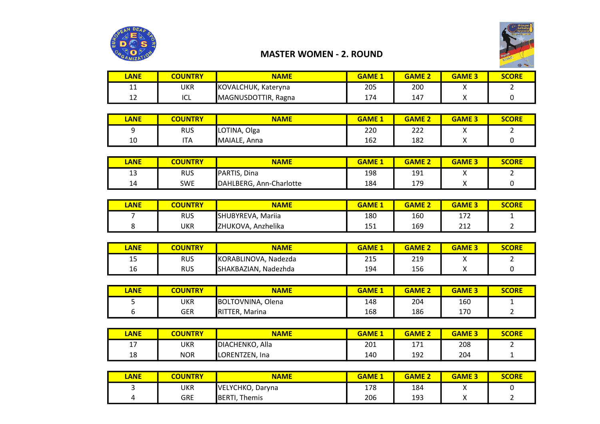

## MASTER WOMEN - 2. ROUND

| LANE      | <b>COUNTRY</b> | <b>NAME</b>         | <b>GAME 1</b> | <b>GAME 2</b> | <b>GAME</b> | <b>SCORE</b> |
|-----------|----------------|---------------------|---------------|---------------|-------------|--------------|
| 44<br>. . | UKR            | KOVALCHUK, Kateryna | 205           | 200           |             |              |
| ᅩ         | $\sim$<br>בש   | MAGNUSDOTTIR, Ragna | 174           | 147           | ,,          |              |

| LANE | <b>COUNTRY</b> | <b>NAME</b>     | <b>GAME</b> | <b>GAME 2</b> | <b>GAME 3</b>   | <b>SCORE</b> |
|------|----------------|-----------------|-------------|---------------|-----------------|--------------|
|      | <b>RUS</b>     | Olga<br>LOTINA, | 220         | าาา<br>777    | $\cdot$         |              |
| 10   | <b>ITA</b>     | MAIALE,<br>Anna | 162         | 182           | $\cdot$ $\cdot$ |              |

| <b>LANE</b>   | <b>COUNTRY</b> | <b>NAME</b>             | <b>GAME</b> | <b>GAME 2</b> | <b>GAME 3</b> | <b>SCORE</b> |
|---------------|----------------|-------------------------|-------------|---------------|---------------|--------------|
| $\sim$<br>ر د | rus            | PARTIS, Dina            | 198         | 191           |               |              |
| 14            | <b>SWE</b>     | DAHLBERG, Ann-Charlotte | 184         | 179           | ,,            |              |

| LANE | <b>COUNTRY</b> | <b>NAME</b>           | <b>GAME 1</b> | <b>GAME 2</b> | <b>GAME 3</b> | <b>SCORE</b> |
|------|----------------|-----------------------|---------------|---------------|---------------|--------------|
|      | <b>RUS</b>     | SHUBYREVA, Mariia     | 180           | 160           | 172<br>⊥ / ∠  |              |
|      | UKR            | Anzhelika<br>ZHUKOVA, | 151           | 169           | า 1 า<br>∠⊥∠  |              |

| LANE         | <b>COUNTRY</b> | <b>NAME</b>             | <b>GAME 1</b> | <b>GAME 2</b> | <b>GAME 3</b> | <b>SCORE</b> |
|--------------|----------------|-------------------------|---------------|---------------|---------------|--------------|
| $\sim$<br>כב | <b>RUS</b>     | KORABLINOVA, Nadezda    | 215           | 219           |               |              |
| 16           | <b>RUS</b>     | SHAKBAZIAN,<br>Nadezhda | 194           | 156           |               |              |

| LANE | <b>COUNTRY</b> | <b>NAME</b>                 | <b>GAME</b> | <b>GAME 2</b> | <b>GAME 3</b> | <b>SCORE</b> |
|------|----------------|-----------------------------|-------------|---------------|---------------|--------------|
|      | UKR            | <b>BOLTOVNINA,</b><br>Olena | 148         | 204           | 160           |              |
|      | GER            | <b>IRITTER,</b><br>Marina   | 168         | 186           | 170           |              |

| <b>ANE</b> | <b>COUNTRY</b> | <b>NAME</b>              | <b>GAME 1</b> | <b>GAME 2</b> | <b>GAME 3</b> | <b>SCORE</b> |
|------------|----------------|--------------------------|---------------|---------------|---------------|--------------|
| . –<br>. . | UKR            | Alla<br>DIACHENKO,       | 201           | 171<br>+1 +   | 208           |              |
| 18         | <b>NOR</b>     | LORENTZEN,<br><b>Ina</b> | 140           | 192           | 204           |              |

| LANE | <b>COUNTRY</b> | <b>NAME</b>              | <b>GAME 1</b> | <b>GAME 2</b> | <b>GAME 3</b> | <b>SCORE</b> |
|------|----------------|--------------------------|---------------|---------------|---------------|--------------|
|      | UKR            | VELYCHKO,<br>. Darvna    | 178           | 184           |               |              |
| д    | GRE            | Themis<br><b>IBERTI,</b> | 206           | 193           |               |              |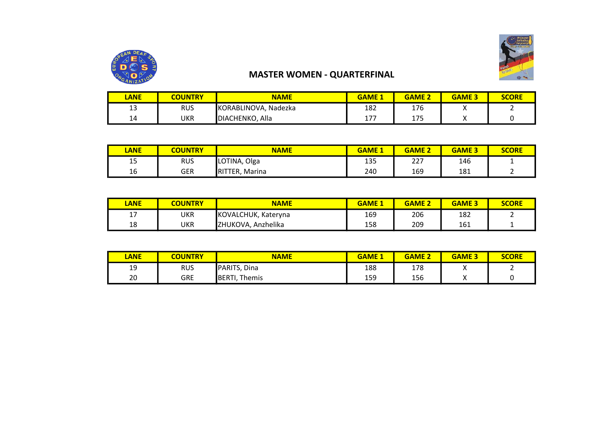

# MASTER WOMEN - QUARTERFINAL

| <b>ANE</b>   | <b>COUNTRY</b> | <b>NAME</b>          | <b>GAME</b>    | <b>GAME 2</b> | <b>GAME 3</b> | <b>SCORE</b> |
|--------------|----------------|----------------------|----------------|---------------|---------------|--------------|
| $\sim$<br>-- | rus            | KORABLINOVA, Nadezka | 182            | 176           | $\cdots$      |              |
| 14           | UKR            | DIACHENKO, Alla      | 177<br>$\pm I$ | 175           | ,,            |              |

| LANE | <b>COUNTRY</b> | <b>NAME</b>    | <b>GAME 1</b> | <b>GAME 2</b> | <b>GAME 3</b> | <b>SCORE</b> |
|------|----------------|----------------|---------------|---------------|---------------|--------------|
| 15   | <b>RUS</b>     | LOTINA, Olga   | 135           | 227           | 146           |              |
| 16   | <b>GER</b>     | RITTER, Marina | 240           | 169           | 181           |              |

| LANE       | <b>COUNTRY</b> | <b>NAME</b>         | <b>GAME 1</b> | <b>GAME 2</b> | <b>GAME 3</b> | <b>SCORE</b> |
|------------|----------------|---------------------|---------------|---------------|---------------|--------------|
| . –<br>- - | UKR            | KOVALCHUK, Kateryna | 169           | 206           | 182           |              |
| 18         | UKR            | ZHUKOVA, Anzhelika  | 158           | 209           | 161           |              |

| LANE | <b>COUNTRY</b> | <b>NAME</b>              | <b>GAME</b> <sub>1</sub> | <b>GAME 2</b> | <b>GAME 3</b> | <b>SCORE</b> |
|------|----------------|--------------------------|--------------------------|---------------|---------------|--------------|
| 19   | <b>RUS</b>     | PARITS, Dina             | 188                      | 178           |               |              |
| 20   | <b>GRE</b>     | Themis<br><b>IBERTI.</b> | 159                      | 156           |               |              |